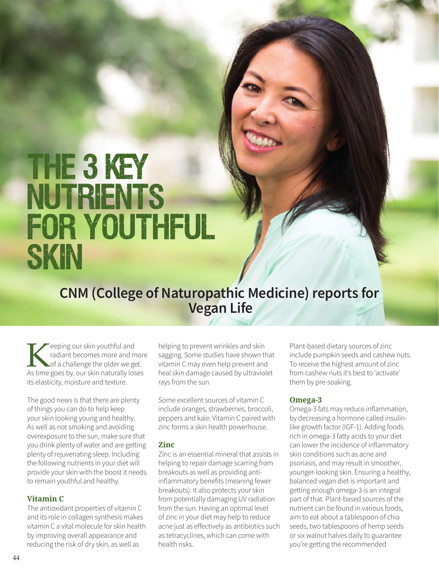# THE 3 KEY **NUTRIENTS FOR YOUTHFUL** SKIN

### **CNM (College of Naturopathic Medicine) reports for Vegan Life**

Eveping our skin youthful and<br>
and and the of a challenge the older we get radiant becomes more and more of a challenge the older we get. As time goes by, our skin naturally loses its elasticity, moisture and texture.

The good news is that there are plenty of things you can do to help keep your skin looking young and healthy. As well as not smoking and avoiding overexposure to the sun, make sure that you drink plenty of water and are getting plenty of rejuvenating sleep. Including the following nutrients in your diet will provide your skin with the boost it needs to remain youthful and healthy.

#### **Vitamin C**

The antioxidant properties of vitamin C and its role in collagen synthesis makes vitamin C a vital molecule for skin health by improving overall appearance and reducing the risk of dry skin, as well as

helping to prevent wrinkles and skin sagging. Some studies have shown that vitamin C may even help prevent and heal skin damage caused by ultraviolet rays from the sun.

Some excellent sources of vitamin C include oranges, strawberries, broccoli, peppers and kale. Vitamin C paired with zinc forms a skin health powerhouse.

#### **Zinc**

Zinc is an essential mineral that assists in helping to repair damage scarring from breakouts as well as providing antiinflammatory benefits (meaning fewer breakouts). It also protects your skin from potentially damaging UV radiation from the sun. Having an optimal level of zinc in your diet may help to reduce acne just as effectively as antibiotics such as tetracyclines, which can come with health risks.

Plant-based dietary sources of zinc include pumpkin seeds and cashew nuts. To receive the highest amount of zinc from cashew nuts it's best to 'activate' them by pre-soaking.

#### **Omega-3**

Omega-3 fats may reduce inflammation, by decreasing a hormone called insulinlike growth factor (IGF-1). Adding foods rich in omega-3 fatty acids to your diet can lower the incidence of inflammatory skin conditions such as acne and psoriasis, and may result in smoother, younger-looking skin. Ensuring a healthy, balanced vegan diet is important and getting enough omega-3 is an integral part of that. Plant-based sources of the nutrient can be found in various foods, aim to eat about a tablespoon of chia seeds, two tablespoons of hemp seeds or six walnut halves daily to guarantee you're getting the recommended